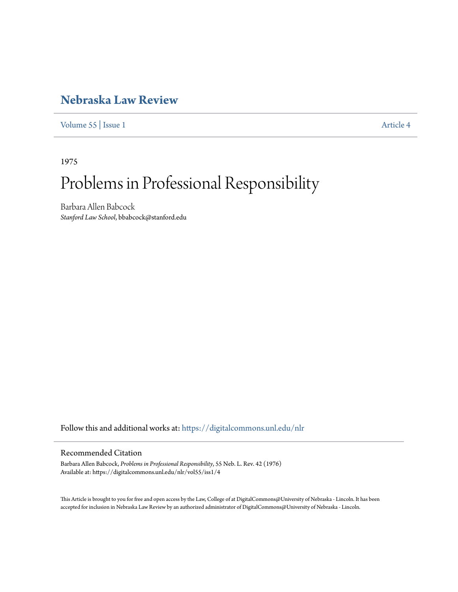### **[Nebraska Law Review](https://digitalcommons.unl.edu/nlr?utm_source=digitalcommons.unl.edu%2Fnlr%2Fvol55%2Fiss1%2F4&utm_medium=PDF&utm_campaign=PDFCoverPages)**

[Volume 55](https://digitalcommons.unl.edu/nlr/vol55?utm_source=digitalcommons.unl.edu%2Fnlr%2Fvol55%2Fiss1%2F4&utm_medium=PDF&utm_campaign=PDFCoverPages) | [Issue 1](https://digitalcommons.unl.edu/nlr/vol55/iss1?utm_source=digitalcommons.unl.edu%2Fnlr%2Fvol55%2Fiss1%2F4&utm_medium=PDF&utm_campaign=PDFCoverPages) [Article 4](https://digitalcommons.unl.edu/nlr/vol55/iss1/4?utm_source=digitalcommons.unl.edu%2Fnlr%2Fvol55%2Fiss1%2F4&utm_medium=PDF&utm_campaign=PDFCoverPages)

1975

# Problems in Professional Responsibility

Barbara Allen Babcock *Stanford Law School*, bbabcock@stanford.edu

Follow this and additional works at: [https://digitalcommons.unl.edu/nlr](https://digitalcommons.unl.edu/nlr?utm_source=digitalcommons.unl.edu%2Fnlr%2Fvol55%2Fiss1%2F4&utm_medium=PDF&utm_campaign=PDFCoverPages)

#### Recommended Citation

Barbara Allen Babcock, *Problems in Professional Responsibility*, 55 Neb. L. Rev. 42 (1976) Available at: https://digitalcommons.unl.edu/nlr/vol55/iss1/4

This Article is brought to you for free and open access by the Law, College of at DigitalCommons@University of Nebraska - Lincoln. It has been accepted for inclusion in Nebraska Law Review by an authorized administrator of DigitalCommons@University of Nebraska - Lincoln.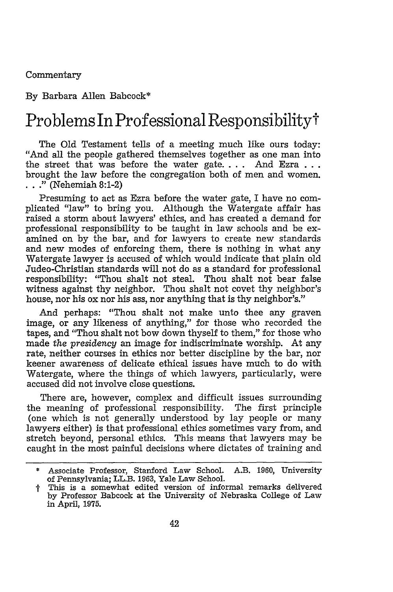Commentary

By Barbara Allen Babcock\*

## Problems In Professional Responsibility<sup>†</sup>

The Old Testament tells of a meeting much like ours today: "And all the people gathered themselves together as one man into the street that was before the water gate **....** And Ezra **...** brought the law before the congregation both of men and women.  $\ldots$ " (Nehemiah 8:1-2)

Presuming to act as Ezra before the water gate, I have no complicated "law" to bring you. Although the Watergate affair has raised a storm about lawyers' ethics, and has created a demand for professional responsibility to be taught in law schools and be examined on by the bar, and for lawyers to create new standards and new modes of enforcing them, there is nothing in what any Watergate lawyer is accused of which would indicate that plain old Judeo-Christian standards will not do as a standard for professional responsibility: "Thou shalt not steal. Thou shalt not bear false witness against thy neighbor. Thou shalt not covet thy neighbor's house, nor his ox nor his ass, nor anything that is thy neighbor's."

And perhaps: "Thou shalt not make unto thee any graven image, or any likeness of anything," for those who recorded the tapes, and "Thou shalt not bow down thyself to them," for those who made *the presidency* an image for indiscriminate worship. At any rate, neither courses in ethics nor better discipline by the bar, nor keener awareness of delicate ethical issues have much to do with Watergate, where the things of which lawyers, particularly, were accused did not involve close questions.

There are, however, complex and difficult issues surrounding the meaning of professional responsibility. The first principle (one which is not generally understood by lay people or many lawyers either) is that professional ethics sometimes vary from, and stretch beyond, personal ethics. This means that lawyers may be caught in the most painful decisions where dictates of training and

Associate Professor, Stanford Law School. A.B. 1960, University of Pennsylvania; LL.B. 1963, Yale Law School.

t This is a somewhat edited version of informal remarks delivered by Professor Babcock at the University of Nebraska College of Law in April, **1975.**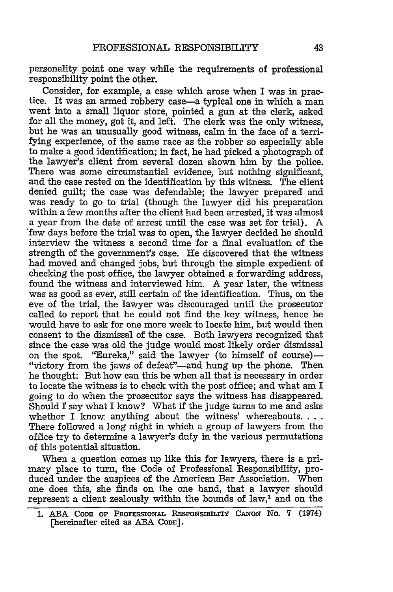personality point one way while the requirements of professional responsibility point the other.

Consider, for example, a case which arose when I was in practice. It was an armed robbery case-a typical one in which a man went into a small liquor store, pointed a gun at the clerk, asked for all the money, got it, and left. The clerk was the only witness, but he was an unusually good witness, calm in the face of a terrifying experience, of the same race as the robber so especially able to make a good identification; in fact, he had picked a photograph of the lawyer's client from several dozen shown him by the police. There was some circumstantial evidence, but nothing significant, and the case rested on the identification by this witness. The client denied guilt; the case was defendable; the lawyer prepared and was ready to go to trial (though the lawyer did his preparation within a few months after the client had been arrested, it was almost a year from the date of arrest until the case was set for trial). A 'few days before the trial was to open, the lawyer decided he should interview the witness a second time for a final evaluation of the strength of the government's case. He discovered that the witness had moved and changed jobs, but through the simple expedient of checking the post office, the lawyer obtained a forwarding address, found the witness and interviewed him. A year later, the witness was as good as ever, still certain of the identification. Thus, on the eve of the trial, the lawyer was discouraged until the prosecutor called to report that he could not find the key witness, hence he would have to ask for one more week to locate him, but would then consent to the dismissal of the case. Both lawyers recognized that since the case was old the judge would most likely order dismissal on the spot. "Eureka," said the lawyer (to himself of course)—<br>"victory from the jaws of defeat"—and hung up the phone. Then he thought: But how can this be when all that is necessary in order to locate the witness is to check with the post office; and what am I going to do when the prosecutor says the witness has disappeared. Should **I** say what I know? What if the judge turns to me and asks whether I know anything about the witness' whereabouts... There followed a long night in which a group of lawyers from the office try to determine a lawyer's duty in the various permutations of this potential situation.

When a question comes up like this for lawyers, there is a primary place to turn, the Code of Professional Responsibility, produced under the auspices of the American Bar Association. When one does this, she finds on the one hand, that a lawyer should represent a client zealously within the bounds of  $law<sub>1</sub>$  and on the

<sup>1.</sup> ABA CODE OF PROFESSIONAL RESPONSIBILITY CANON NO. 7 (1974) **[hereinafter cited as ABA CODE].**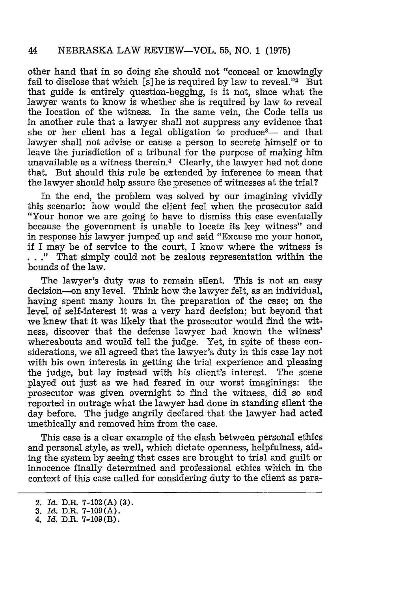other hand that in so doing she should not "conceal or knowingly fail to disclose that which **[s]** he is required by law to reveal."' 2 But that guide is entirely question-begging, is it not, since what the lawyer wants to know is whether she is required by law to reveal the location of the witness. In the same vein, the Code tells us in another rule that a lawyer shall not suppress any evidence that she or her client has a legal obligation to produce<sup>3</sup>— and that lawyer shall not advise or cause a person to secrete himself or to leave the jurisdiction of a tribunal for the purpose of making him unavailable as a witness therein.4 Clearly, the lawyer had not done that. But should this rule be extended by inference to mean that the lawyer should help assure the presence of witnesses at the trial?

In the end, the problem was solved by our imagining vividly this scenario: how would the client feel when the prosecutor said "Your honor we are going to have to dismiss this case eventually because the government is unable to locate its key witness" and in response his lawyer jumped up and said "Excuse me your honor, if I may be of service to the court, I know where the witness is ..." That simply could not be zealous representation within the bounds of the law.

The lawyer's duty was to remain silent. This is not an easy decision-on any level. Think how the lawyer felt, as an individual, having spent many hours in the preparation of the case; on the level of self-interest it was a very hard decision; but beyond that we knew that it was likely that the prosecutor would find the witness, discover that the defense lawyer had known the witness' whereabouts and would tell the judge. Yet, in spite of these considerations, we all agreed that the lawyer's duty in this case lay not with his own interests in getting the trial experience and pleasing the judge, but lay instead with his client's interest. The scene played out just as we had feared in our worst imaginings: the prosecutor was given overnight to find the witness, did so and reported in outrage what the lawyer had done in standing silent the day before. The judge angrily declared that the lawyer had acted unethically and removed him from the case.

This case is a clear example of the clash between personal ethics and personal style, as well, which dictate openness, helpfulness, aiding the system by seeing that cases are brought to trial and guilt or innocence finally determined and professional ethics which in the context of this case called for considering duty to the client as para-

<sup>2.</sup> *Id.* D.R. 7-102 (A) (3).

**<sup>3.</sup>** *Id.* D.R. **7-109(A).**

<sup>4.</sup> *Id.* D.R. **7-109(B).**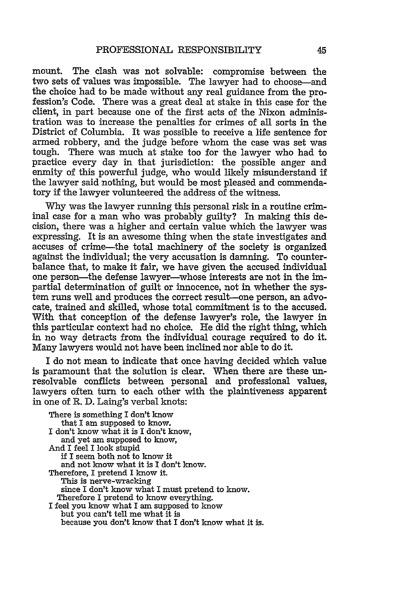mount. The clash was not solvable: compromise between the two sets of values was impossible. The lawyer had to choose-and the choice had to be made without any real guidance from the profession's Code. There was a great deal at stake in this case for the client, in part because one of the first acts of the Nixon administration was to increase the penalties for crimes of all sorts in the District of Columbia. It was possible to receive a life sentence for armed robbery, and the judge before whom the case was set was tough. There was much at stake too for the lawyer who had to practice every day in that jurisdiction: the possible anger and enmity of this powerful judge, who would likely misunderstand if the lawyer said nothing, but would be most pleased and commendatory if the lawyer volunteered the address of the witness.

Why was the lawyer running this personal risk in a routine criminal case for a man who was probably guilty? In making this decision, there was a higher and certain value which the lawyer was expressing. It is an awesome thing when the state investigates and accuses of crime-the total machinery of the society is organized against the individual; the very accusation is damning. To counterbalance that, to make it fair, we have given the accused individual one person-the defense lawyer-whose interests are not in the impartial determination of guilt or innocence, not in whether the system runs well and produces the correct result-one person, an advocate, trained and skilled, whose total commitment is to the accused. With that conception of the defense lawyer's role, the lawyer in this particular context had no choice. **He** did the right thing, which in no way detracts from the individual courage required to do it. Many lawyers would not have been inclined nor able to do it.

I do not mean to indicate that once having decided which value is paramount that the solution is clear. When there are these unresolvable conflicts between personal and professional values, lawyers often turn to each other with the plaintiveness apparent in one of R. D. Laing's verbal knots:

There is something I don't know that I am supposed to know. I don't know what it is I don't know, and yet am supposed to know, And I feel I look stupid if I seem both not to know it and not know what it is I don't know. Therefore, I pretend I know it. This is nerve-wracking since I don't know what I must pretend to know. Therefore I pretend to know everything. I feel you know what I am supposed to know but you can't tell me what it is because you don't know that I don't know what it is.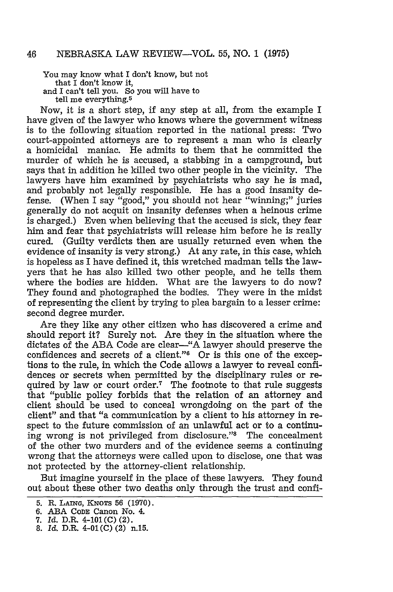You may know what I dor't know, but not that I don't know it, and I can't tell you. So you will have to tell me everything.<sup>5</sup>

Now, it is a short step, if any step at all, from the example I have given of the lawyer who knows where the government witness is to the following situation reported in the national press: Two court-appointed attorneys are to represent a man who is clearly a homicidal maniac. He admits to them that he committed the murder of which he is accused, a stabbing in a campground, but says that in addition he killed two other people in the vicinity. The lawyers have him examined by psychiatrists who say he is mad, and probably not legally responsible. He has a good insanity defense. (When I say "good," you should not hear "winning;" juries generally do not acquit on insanity defenses when a heinous crime is charged.) Even when believing that the accused is sick, they fear him and fear that psychiatrists will release him before he is really cured. (Guilty verdicts then are usually returned even when the evidence of insanity is very strong.) At any rate, in this case, which is hopeless as I have defined it, this wretched madman tells the lawyers that he has also killed two other people, and he tells them where the bodies are hidden. What are the lawyers to do now? They found and photographed the bodies. They were in the midst of representing the client by trying to plea bargain to a lesser crime: second degree murder.

Are they like any other citizen who has discovered a crime and should report it? Surely not. Are they in the situation where the dictates of the ABA Code are clear-"A lawyer should preserve the confidences and secrets of a client."6 Or is this one of the exceptions to the rule, in which the Code allows a lawyer to reveal confidences or secrets when permitted by the disciplinary rules or required by law or court order.<sup>7</sup> The footnote to that rule suggests that "public policy forbids that the relation of an attorney and client should be used to conceal wrongdoing on the part of the client" and that "a communication by a client to his attorney in respect to the future commission of an unlawful act or to a continuing wrong is not privileged from disclosure."<sup>8</sup> The concealment of the other two murders and of the evidence seems a continuing wrong that the attorneys were called upon to disclose, one that was not protected by the attorney-client relationship.

But imagine yourself in the place of these lawyers. They found out about these other two deaths only through the trust and confi-

<sup>5.</sup> R. LAiNG, KNOTS 56 **(1970).**

**<sup>6.</sup> ABA CODE** Canon No. 4.

**<sup>7.</sup>** *Id.* D.R. 4-101 **(C)** (2).

**<sup>8.</sup>** *Id.* D.R. 4-01(C) (2) n.15.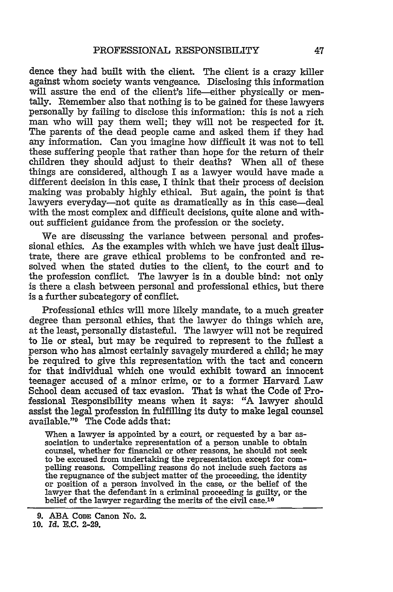dence they had built with the client. The client is a crazy killer against whom society wants vengeance. Disclosing this information will assure the end of the client's life-either physically or mentally. Remember also that nothing is to be gained for these lawyers personally **by** failing to disclose this information: this is not a rich man who will pay them well; they will not be respected for it. The parents of the dead people came and asked them if they had any information. Can you imagine how difficult it was not to tell these suffering people that rather than hope for the return of their children they should adjust to their deaths? When all of these things are considered, although I as a lawyer would have made a different decision in this case, I think that their process of decision making was probably **highly** ethical. But again, the point is that lawyers everyday-not quite as dramatically as in this case-deal with the most complex and difficult decisions, quite alone and without sufficient guidance from the profession or the society.

We are discussing the variance between personal and professional ethics. As the examples with which we have just dealt illustrate, there are grave ethical problems to be confronted and resolved when the stated duties to the client, to the court and to the profession conflict. The lawyer is in a double bind: not only is there a clash between personal and professional ethics, but there is a further subcategory of conflict.

Professional ethics will more likely mandate, to a much greater degree than personal ethics, that the lawyer do things which are, at the least, personally distasteful. The lawyer will not be required to lie or steal, but may be required to represent to the fullest a person who has almost certainly savagely murdered a child; he may be required to give this representation with the tact and concern for that individual which one would exhibit toward an innocent teenager accused of a minor crime, or to a former Harvard Law School dean accused of tax evasion. That is what the Code of Professional Responsibility means when it says: "A lawyer should assist the legal profession in fulfilling its duty to make legal counsel available."<sup>9</sup> The Code adds that:

When a lawyer is appointed **by** a court, or requested **by** a bar association to undertake representation of a person unable to obtain counsel, whether for financial or other reasons, he should not seek to be excused from undertaking the representation except for compelling reasons. Compelling reasons do not include such factors as the repugnance of the subject matter of the proceeding, the identity or position of a person involved in the case, or the belief of the lawyer that the defendant in a criminal proceeding is guilty, or the belief of the lawyer regarding the merits of the civil case. $10$ 

**<sup>9.</sup> ABA** CoDE Canon No. 2.

**<sup>10.</sup> Id. E.C. 2-29.**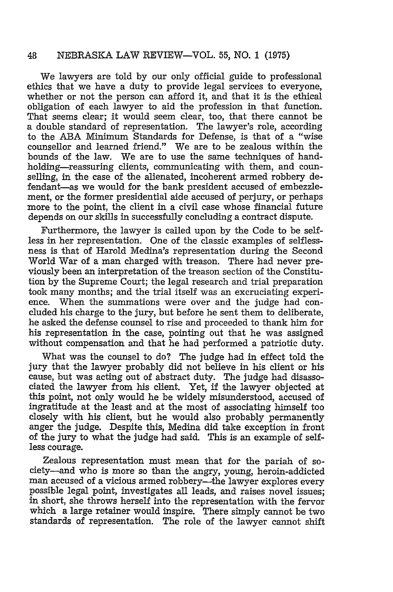We lawyers are told by our only official guide to professional ethics that we have a duty to provide legal services to everyone, whether or not the person can afford it, and that it is the ethical obligation of each lawyer to aid the profession in that function. That seems clear; it would seem clear, too, that there cannot be a double standard of representation. The lawyer's role, according to the ABA Vinimum Standards for Defense, is that of a "wise counsellor and learned friend." We are to be zealous within the bounds of the law. We are to use the same techniques of handholding—reassuring clients, communicating with them, and counselling, in the case of the alienated, incoherent armed robbery defendant-as we would for the bank president accused of embezzlement, or the former presidential aide accused of perjury, or perhaps more to the point, the client in a civil case whose financial future depends on our skills in successfully concluding a contract dispute.

Furthermore, the lawyer is called upon by the Code to be selfless in her representation. One of the classic examples of selflessness is that of Harold Medina's representation during the Second World War of a man charged with treason. There had never previously been an interpretation of the treason section of the Constitution by the Supreme Court; the legal research and trial preparation took many months; and the trial itself was an excruciating experience. When the summations were over and the judge had concluded his charge to the jury, but before he sent them to deliberate, he asked the defense counsel to rise and proceeded to thank him for his representation in the case, pointing out that he was assigned without compensation and that he had performed a patriotic duty.

What was the counsel to do? The judge had in effect told the jury that the lawyer probably did not believe in his client or his cause, but was acting out of abstract duty. The judge had disassociated the lawyer from his client. Yet, if the lawyer objected at this point, not only would he be widely misunderstood, accused of ingratitude at the least and at the most of associating himself too closely with his client, but he would also probably permanently anger the judge. Despite this, Medina did take exception in front of the jury to what the judge had said. This is an example of selfless courage.

Zealous representation must mean that for the pariah of society-and who is more so than the angry, young, heroin-addicted man accused of a vicious armed robbery-the lawyer explores every possible legal point, investigates all leads, and raises novel issues; in short, she throws herself into the representation with the fervor which a large retainer would inspire. There simply cannot be two standards of representation. The role of the lawyer cannot shift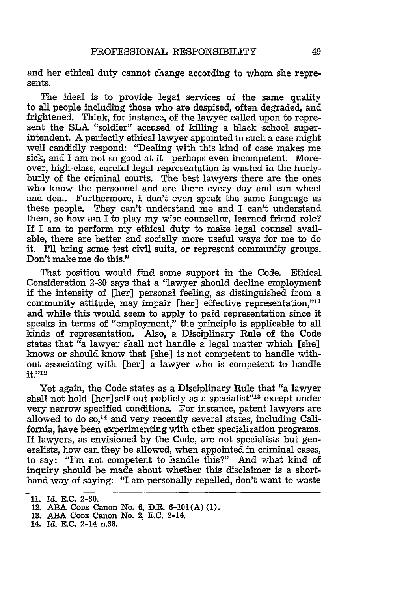and her ethical duty cannot change according to whom she represents.

The ideal is to provide legal services of the same quality to all people including those who are despised, often degraded, and frightened. Think, for instance, of the lawyer called upon to represent the SLA "soldier" accused of killing a black school superintendent. **A** perfectly ethical lawyer appointed to such a case might well candidly respond: "Dealing with this kind of case makes me sick, and I am not so good at it—perhaps even incompetent. Moreover, high-class, careful legal representation is wasted in the hurlyburly of the criminal courts. The best lawyers there are the ones who know the personnel and are there every day and can wheel and deal. Furthermore, I don't even speak the same language as these people. They can't understand me and I can't understand them, so how am I to play my wise counsellor, learned friend role? If I am to perform my ethical duty to make legal counsel available, there are better and socially more useful ways for me to do it. **I'll** bring some test civil suits, or represent community groups. Don't make me do this."

That position would find some support in the Code. Ethical Consideration 2-30 says that a "lawyer should decline employment if the intensity of [her] personal feeling, as distinguished from a community attitude, may impair [her] effective representation,"11 and while this would seem to apply to paid representation since it speaks in terms of "employment," the principle is applicable to all kinds of representation. Also, a Disciplinary Rule of the Code states that "a lawyer shall not handle a legal matter which  $\lceil \text{she} \rceil$ knows or should know that [she] is not competent to handle without associating with [her] a lawyer who is competent to handle **it."12**

Yet again, the Code states as a Disciplinary Rule that "a lawyer shall not hold [her] self out publicly as a specialist"<sup>13</sup> except under very narrow specified conditions. For instance, patent lawyers are allowed to do  $so<sub>14</sub>$  and very recently several states, including California, have been experimenting with other specialization programs. If lawyers, as envisioned by the Code, are not specialists but generalists, how can they be allowed, when appointed in criminal cases, to say: "I'm not competent to handle this?" And what kind of inquiry should be made about whether this disclaimer is a shorthand way of saying: "I am personally repelled, don't want to waste

**<sup>11.</sup>** *Id.* **E.C. 2-30.**

<sup>12.</sup> **ABA CODE Canon** No. **6,** DM. **6-101(A) (1). 13. ABA CODE Canon No.** 2, **E.C. 2-14.**

**<sup>14.</sup> Id. E.C.** 2-14 **n.38.**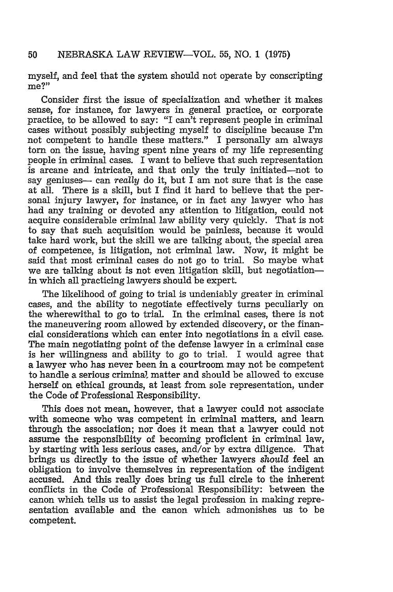myself, and feel that the system should not operate by conscripting me?"

Consider first the issue of specialization and whether it makes sense, for instance, for lawyers in general practice, or corporate practice, to be allowed to say: "I can't represent people in criminal cases without possibly subjecting myself to discipline because I'm not competent to handle these matters." I personally am always torn on the issue, having spent nine years of my life representing people in criminal cases. I want to believe that such representation is arcane and intricate, and that only the truly initiated-not to say geniuses- can *really* do it, but I am not sure that is the case at all. There is a skill, but I find it hard to believe that the personal injury lawyer, for instance, or in fact any lawyer who has had any training or devoted any attention to litigation, could not acquire considerable criminal law ability very quickly. That is not to say that such acquisition would be painless, because it would take hard work, but the skill we are talking about, the special area of competence, is litigation, not criminal law. Now, it might be said that most criminal cases do not go to trial. So maybe what we are talking about is not even litigation skill, but negotiationin which all practicing lawyers should be expert.

The likelihood of going to trial is undeniably greater in criminal cases, and the ability to negotiate effectively turns peculiarly on the wherewithal to go to trial. In the criminal cases, there is not the maneuvering room allowed by extended discovery, or the financial considerations which can enter into negotiations in a civil case. The main negotiating point of the defense lawyer in a criminal case is her willingness and ability to go to trial. I would agree that a lawyer who has never been in a courtroom may not be competent to handle a serious criminal matter and should be allowed to excuse herself on ethical grounds, at least from sole representation, under the Code of Professional Responsibility.

This does not mean, however, that a lawyer could not associate with someone who was competent in criminal matters, and learn through the association; nor does it mean that a lawyer could not assume the responsibility of becoming proficient in criminal law, by starting with less serious cases, and/or by extra diligence. That brings us directly to the issue of whether lawyers *should* feel an obligation to involve themselves in representation of the indigent accused. And this really does bring us full circle to the inherent conflicts in the Code of Professional Responsibility: between the canon which tells us to assist the legal profession in making representation available and the canon which admonishes us to be competent.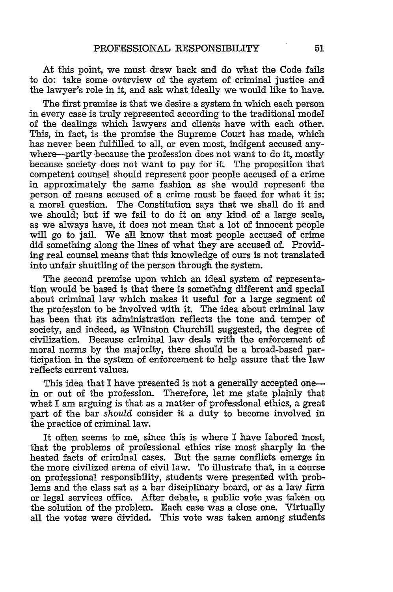At this point, we must draw back and do what the Code fails to do: take some overview of the system of criminal justice and the lawyer's role in it, and ask what ideally we would like to have.

The first premise is that we desire a system in which each person in every case is truly represented according to the traditional model of the dealings which lawyers and clients have with each other. This, in fact, is the promise the Supreme Court has made, which has never been fulfilled to all, or even most, indigent accused anywhere—partly because the profession does not want to do it, mostly because society does not want to pay for it. The proposition that competent counsel should represent poor people accused of a crime in approximately the same fashion as she would represent the person of means accused of a crime must be faced for what it is: a moral question. The Constitution says that we shall do it and we should; but if we fail to do it on any kind of a large scale, as we always have, it does not mean that a lot of innocent people will go to jail. We all know that most people accused of crime did something along the lines of what they are accused of. Providing real counsel means that this knowledge of ours is not translated into unfair shuttling of the person through the system.

The second premise upon which an ideal system of representation would be based is that there is something different and special about criminal law which makes it useful for a large segment of the profession to be involved with it. The idea about criminal law has been that its administration reflects the tone and temper of society, and indeed, as Winston Churchill suggested, the degree of civilization. Because criminal law deals with the enforcement of moral norms by the majority, there should be a broad-based participation in the system of enforcement to help assure that the law reflects current values.

This idea that I have presented is not a generally accepted onein or out of the profession. Therefore, let me state plainly that what I am arguing is that as a matter of professional ethics, a great part of the bar should consider it a duty to become involved in the practice of criminal law.

It often seems to me, since this is where I have labored most, that the problems of professional ethics rise most sharply in the heated facts of criminal cases. But the same conflicts emerge in the more civilized arena of civil law. To illustrate that, in a course on professional responsibility, students were presented with problems and the class sat as a bar disciplinary board, or as a law firm or legal services office. After debate, a public vote was taken on the solution of the problem. Each case was a close one. Virtually all the votes were divided. This vote was taken among students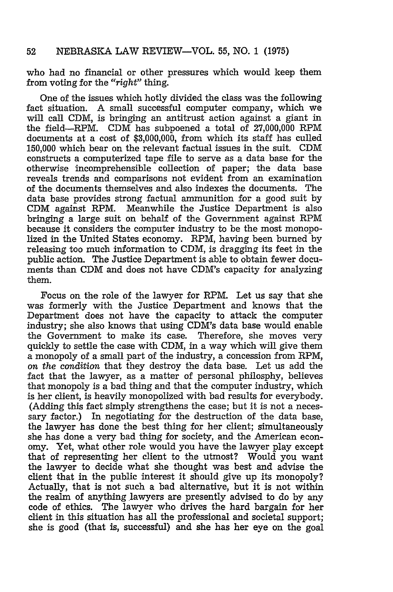who had no financial or other pressures which would keep them from voting for the *"right"* thing.

One of the issues which hotly divided the class was the following fact situation. A small successful computer company, which we will call CDM, is bringing an antitrust action against a giant in the field-RPM. CDM has subpoened a total of 27,000,000 RPM documents at a cost of \$3,000,000, from which its staff has culled 150,000 which bear on the relevant factual issues in the suit. **CDM** constructs a computerized tape file to serve as a data base for the otherwise incomprehensible collection of paper; the data base reveals trends and comparisons not evident from an examination of the documents themselves and also indexes the documents. The data base provides strong factual ammunition for a good suit by CDM against RPM. Meanwhile the Justice Department is also bringing a large suit on behalf of the Government against RPM because it considers the computer industry to be the most monopolized in the United States economy. RPM, having been burned by releasing too much information to CDM, is dragging its feet in the public action. The Justice Department is able to obtain fewer documents than CDM and does not have CDM's capacity for analyzing them.

Focus on the role of the lawyer for RPM. Let us say that she was formerly with the Justice Department and knows that the Department does not have the capacity to attack the computer industry; she also knows that using CDM's data base would enable the Government to make its case. Therefore, she moves very quickly to settle the case with CDM, in a way which will give them a monopoly of a small part of the industry, a concession from RPM, on *the* condition that they destroy the data base. Let us add the fact that the lawyer, as a matter of personal philosphy, believes that monopoly is a bad thing and that the computer industry, which is her client, is heavily monopolized with bad results for everybody. (Adding this fact simply strengthens the case; but it is not a necessary factor.) In negotiating for the destruction of the data base, the lawyer has done the best thing for her client; simultaneously she has done a very bad thing for society, and the American economy. Yet, what other role would you have the lawyer play except that of representing her client to the utmost? Would you want the lawyer to decide what she thought was best and advise the client that in the public interest it should give up its monopoly? Actually, that is not such a bad alternative, but it is not within the realm of anything lawyers are presently advised to do by any code of ethics. The lawyer who drives the hard bargain for her client in this situation has all the professional and societal support; she is good (that is, successful) and she has her eye on the goal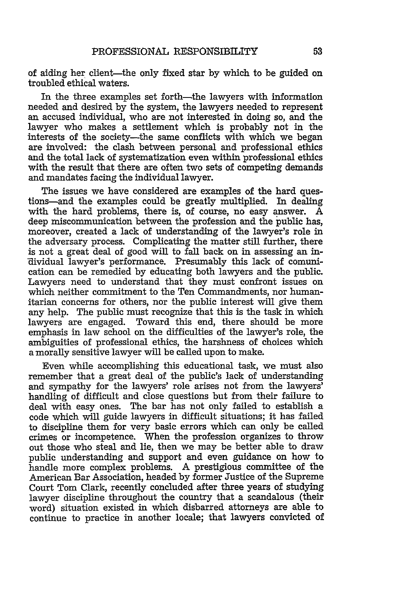of aiding her client-the only fixed star **by** which to be guided on troubled ethical waters.

In the three examples set forth—the lawyers with information needed and desired **by** the system, the lawyers needed to represent an accused individual, who are not interested in doing so, and the lawyer who makes a settlement which is probably not in the interests of the society-the same conflicts with which we began are involved: the clash between personal and professional ethics and the total lack of systematization even within professional ethics with the result that there are often two sets of competing demands and mandates facing the individual lawyer.

The issues we have considered are examples of the hard questions-and the examples could be greatly multiplied. In dealing with the hard problems, there is, of course, no easy answer. A deep miscommunication between the profession and the public has, moreover, created a lack of understanding of the lawyer's role in the adversary process. Complicating the matter still further, there is not a great deal of good will to fall back on in assessing an individual lawyer's performance. Presumably this lack of comunication can be remedied by educating both lawyers and the public. Lawyers need to understand that they must confront issues on which neither commitment to the Ten Commandments, nor humanitarian concerns for others, nor the public interest will give them any help. The public must recognize that this is the task in which lawyers are engaged. Toward this end, there should be more emphasis in law school on the difficulties of the lawyer's role, the ambiguities of professional ethics, the harshness of choices which a morally sensitive lawyer will be called upon to make.

Even while accomplishing this educational task, we must also remember that a great deal of the public's lack of understanding and sympathy for the lawyers' role arises not from the lawyers' handling of difficult and close questions but from their failure to deal with easy ones. The bar has not only failed to establish a code which will guide lawyers in difficult situations; it has failed to discipline them for very basic errors which can only be called crimes or incompetence. When the profession organizes to throw out those who steal and lie, then we may be better able to draw public understanding and support and even guidance on how to handle more complex problems. A prestigious committee of the American Bar Association, headed by former Justice of the Supreme Court Tom Clark, recently concluded after three years of studying lawyer discipline throughout the country that a scandalous (their word) situation existed in which disbarred attorneys are able to continue to practice in another locale; that lawyers convicted of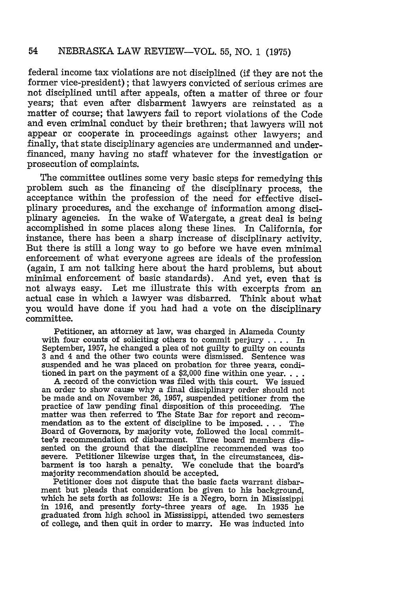federal income tax violations are not disciplined (if they are not the former vice-president); that lawyers convicted of serious crimes are not disciplined until after appeals, often a matter of three or four years; that even after disbarment lawyers are reinstated as a matter of course; that lawyers fail to report violations of the Code and even criminal conduct by their brethren; that lawyers will not appear or cooperate in proceedings against other lawyers; and finally, that state disciplinary agencies are undermanned and underfinanced, many having no staff whatever for the investigation or prosecution of complaints.

The committee outlines some very basic steps for remedying this problem such as the financing of the disciplinary process, the acceptance within the profession of the need for effective disciplinary procedures, and the exchange of information among disciplinary agencies. In the wake of Watergate, a great deal is being accomplished in some places along these lines. In California, for instance, there has been a sharp increase of disciplinary activity. But there is still a long way to go before we have even minimal enforcement of what everyone agrees are ideals of the profession (again, I am not talking here about the hard problems, but about minimal enforcement of basic standards). And yet, even that is not always easy. Let me illustrate this with excerpts from an actual case in which a lawyer was disbarred. Think about what you would have done if you had had a vote on the disciplinary committee.

Petitioner, an attorney at law, was charged in Alameda County with four counts of soliciting others to commit perjury .... In September, 1957, he changed a plea of not guilty to guilty on counts 3 and 4 and the other two counts were dismissed. Sentence was suspended and he was placed on probation for three years, conditioned in part on the payment of a \$2,000 fine within one **year....**

A record of the conviction was filed with this court. We issued an order to show cause why a final disciplinary order should not be made and on November 26, 1957, suspended petitioner from the practice of law pending final disposition of this proceeding. The matter was then referred to The State Bar for report and recommendation as to the extent of discipline to be imposed **....** The Board of Governors, by majority vote, followed the local committee's recommendation of disbarment. Three board members dissented on the ground that the discipline recommended was too severe. Petitioner likewise urges that, in the circumstances, disbarment is too harsh a penalty. We conclude that the board's majority recommendation should be accepted.

Petitioner does not dispute that the basic facts warrant disbar-<br>ment but pleads that consideration be given to his background, which he sets forth as follows: He is a Negro, born in Mississippi in 1916, and presently forty-three years of age. In 1935 he graduated from high school in Mississippi, attended two semesters of college, and then quit in order to marry. He was inducted into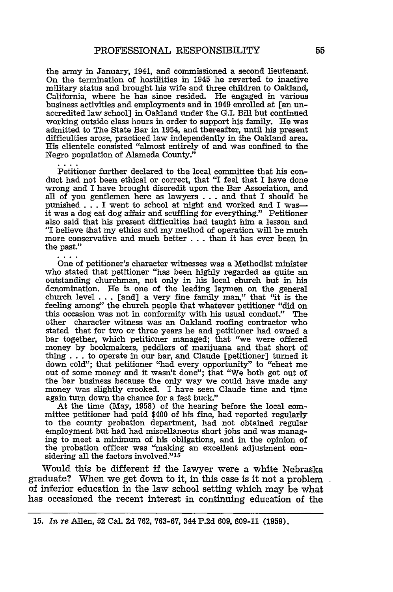the army in January, 1941, and commissioned a second lieutenant. On the termination of hostilities in 1945 he reverted to inactive military status and brought his wife and three children to Oakland, California, where he has since resided. He engaged in various accredited law school] in Oakland under the G.I. Bill but continued<br>working outside class hours in order to support his family. He was admitted to The State Bar in 1954, and thereafter, until his present difficulties arose, practiced law independently in the Oakland area. His clientele consisted "almost entirely of and was confined to the Negro population of Alameda County."

Petitioner further declared to the local committee that his con-<br>duct had not been ethical or correct, that "I feel that I have done wrong and I have brought discredit upon the Bar Association, and all of you gentlemen here as lawyers **...** and that I should be it was a dog eat dog affair and scuffling for everything." Petitioner also said that his present difficulties had taught him a lesson and "I believe that my ethics and my method of operation will be much more conservative and much better **. . .** than it has ever been in the past."

One of petitioner's character witnesses was a Methodist minister who stated that petitioner "has been **highly** regarded as quite an outstanding churchman, not only in his local church but in his denomination. He is one of the leading laymen on the general church level **. . .** [and] a very fine family man," that "it is the feeling among" the church people that whatever petitioner "did on this occasion was not in conformity with his usual conduct." The other character witness was an Oakland roofing contractor who stated that for two or three years he and petitioner had owned a bar together, which petitioner managed; that "we were offered money **by** bookmakers, peddlers of marijuana and that short of thing **.. .**to operate in our bar, and Claude [petitioner] turned it out of some money and it wasn't done"; that "We both got out of the bar business because the only way we could have made any money was slightly crooked. I have seen Claude time and time again turn down the chance for a fast buck."

At the time (May, **1958)** of the hearing before the local com- mittee petitioner had paid \$400 of his fine, had reported regularly to the county probation department, had not obtained regular employment but had had miscellaneous short jobs and was managing to meet a minimum of his obligations, and in the opinion of the probation officer was 'making an excellent adjustment considering all the factors involved."15

Would this be different if the lawyer were a white Nebraska graduate? When we get down to it, in this case is it not a problem of inferior education in the law school setting which may be what has occasioned the recent interest in continuing education of the

**<sup>15.</sup>** *In re* Allen, **52** Cal. **2d 762, 763-67,** 344 **P.2d 609, 609-11 (1959).**